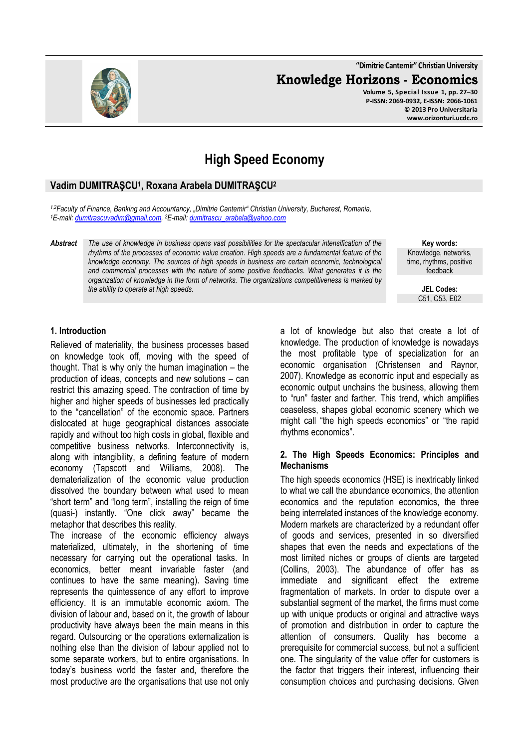**"Dimitrie Cantemir" Christian University Knowledge Horizons - Economics Volume 5, Special Issue 1, pp. 27–30 P-ISSN: 2069-0932, E-ISSN: 2066-1061 © 2013 Pro Universitaria www.orizonturi.ucdc.ro**

# **High Speed Economy**

### **Vadim DUMITRAŞCU<sup>1</sup> , Roxana Arabela DUMITRAŞCU<sup>2</sup>**

*1,2Faculty of Finance, Banking and Accountancy, "Dimitrie Cantemir" Christian University, Bucharest, Romania, <sup>1</sup>E-mail: dumitrascuvadim@gmail.com, <sup>2</sup>E-mail: dumitrascu\_arabela@yahoo.com* 

*Abstract The use of knowledge in business opens vast possibilities for the spectacular intensification of the rhythms of the processes of economic value creation. High speeds are a fundamental feature of the knowledge economy. The sources of high speeds in business are certain economic, technological and commercial processes with the nature of some positive feedbacks. What generates it is the organization of knowledge in the form of networks. The organizations competitiveness is marked by the ability to operate at high speeds.* 

**Key words:** Knowledge, networks, time, rhythms, positive feedback

> **JEL Codes:** C51, C53, E02

#### **1. Introduction**

Relieved of materiality, the business processes based on knowledge took off, moving with the speed of thought. That is why only the human imagination – the production of ideas, concepts and new solutions – can restrict this amazing speed. The contraction of time by higher and higher speeds of businesses led practically to the "cancellation" of the economic space. Partners dislocated at huge geographical distances associate rapidly and without too high costs in global, flexible and competitive business networks. Interconnectivity is, along with intangibility, a defining feature of modern economy (Tapscott and Williams, 2008). The dematerialization of the economic value production dissolved the boundary between what used to mean "short term" and "long term", installing the reign of time (quasi-) instantly. "One click away" became the metaphor that describes this reality.

The increase of the economic efficiency always materialized, ultimately, in the shortening of time necessary for carrying out the operational tasks. In economics, better meant invariable faster (and continues to have the same meaning). Saving time represents the quintessence of any effort to improve efficiency. It is an immutable economic axiom. The division of labour and, based on it, the growth of labour productivity have always been the main means in this regard. Outsourcing or the operations externalization is nothing else than the division of labour applied not to some separate workers, but to entire organisations. In today's business world the faster and, therefore the most productive are the organisations that use not only a lot of knowledge but also that create a lot of knowledge. The production of knowledge is nowadays the most profitable type of specialization for an economic organisation (Christensen and Raynor, 2007). Knowledge as economic input and especially as economic output unchains the business, allowing them to "run" faster and farther. This trend, which amplifies ceaseless, shapes global economic scenery which we might call "the high speeds economics" or "the rapid rhythms economics".

#### **2. The High Speeds Economics: Principles and Mechanisms**

The high speeds economics (HSE) is inextricably linked to what we call the abundance economics, the attention economics and the reputation economics, the three being interrelated instances of the knowledge economy. Modern markets are characterized by a redundant offer of goods and services, presented in so diversified shapes that even the needs and expectations of the most limited niches or groups of clients are targeted (Collins, 2003). The abundance of offer has as immediate and significant effect the extreme fragmentation of markets. In order to dispute over a substantial segment of the market, the firms must come up with unique products or original and attractive ways of promotion and distribution in order to capture the attention of consumers. Quality has become a prerequisite for commercial success, but not a sufficient one. The singularity of the value offer for customers is the factor that triggers their interest, influencing their consumption choices and purchasing decisions. Given

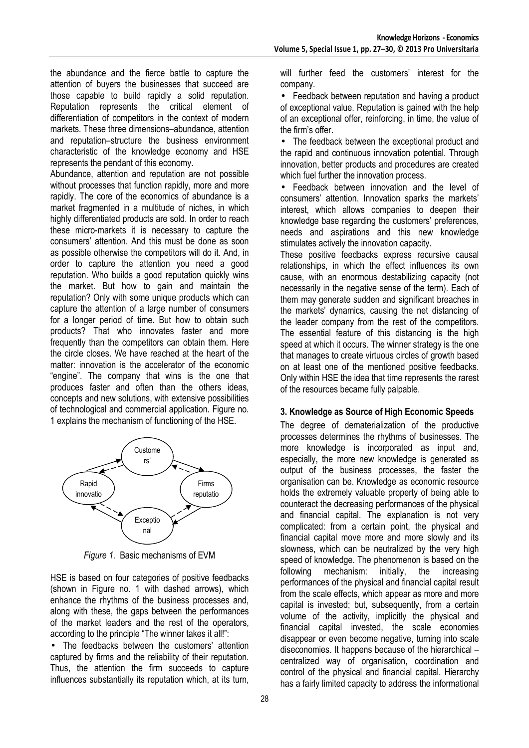the abundance and the fierce battle to capture the attention of buyers the businesses that succeed are those capable to build rapidly a solid reputation. Reputation represents the critical element of differentiation of competitors in the context of modern markets. These three dimensions–abundance, attention and reputation–structure the business environment characteristic of the knowledge economy and HSE represents the pendant of this economy.

Abundance, attention and reputation are not possible without processes that function rapidly, more and more rapidly. The core of the economics of abundance is a market fragmented in a multitude of niches, in which highly differentiated products are sold. In order to reach these micro-markets it is necessary to capture the consumers' attention. And this must be done as soon as possible otherwise the competitors will do it. And, in order to capture the attention you need a good reputation. Who builds a good reputation quickly wins the market. But how to gain and maintain the reputation? Only with some unique products which can capture the attention of a large number of consumers for a longer period of time. But how to obtain such products? That who innovates faster and more frequently than the competitors can obtain them. Here the circle closes. We have reached at the heart of the matter: innovation is the accelerator of the economic "engine". The company that wins is the one that produces faster and often than the others ideas, concepts and new solutions, with extensive possibilities of technological and commercial application. Figure no. 1 explains the mechanism of functioning of the HSE.



*Figure 1.* Basic mechanisms of EVM

HSE is based on four categories of positive feedbacks (shown in Figure no. 1 with dashed arrows), which enhance the rhythms of the business processes and, along with these, the gaps between the performances of the market leaders and the rest of the operators, according to the principle "The winner takes it all!":

• The feedbacks between the customers' attention captured by firms and the reliability of their reputation. Thus, the attention the firm succeeds to capture influences substantially its reputation which, at its turn,

will further feed the customers' interest for the company.

• Feedback between reputation and having a product of exceptional value. Reputation is gained with the help of an exceptional offer, reinforcing, in time, the value of the firm's offer.

• The feedback between the exceptional product and the rapid and continuous innovation potential. Through innovation, better products and procedures are created which fuel further the innovation process.

Feedback between innovation and the level of consumers' attention. Innovation sparks the markets' interest, which allows companies to deepen their knowledge base regarding the customers' preferences, needs and aspirations and this new knowledge stimulates actively the innovation capacity.

These positive feedbacks express recursive causal relationships, in which the effect influences its own cause, with an enormous destabilizing capacity (not necessarily in the negative sense of the term). Each of them may generate sudden and significant breaches in the markets' dynamics, causing the net distancing of the leader company from the rest of the competitors. The essential feature of this distancing is the high speed at which it occurs. The winner strategy is the one that manages to create virtuous circles of growth based on at least one of the mentioned positive feedbacks. Only within HSE the idea that time represents the rarest of the resources became fully palpable.

#### **3. Knowledge as Source of High Economic Speeds**

The degree of dematerialization of the productive processes determines the rhythms of businesses. The more knowledge is incorporated as input and, especially, the more new knowledge is generated as output of the business processes, the faster the organisation can be. Knowledge as economic resource holds the extremely valuable property of being able to counteract the decreasing performances of the physical and financial capital. The explanation is not very complicated: from a certain point, the physical and financial capital move more and more slowly and its slowness, which can be neutralized by the very high speed of knowledge. The phenomenon is based on the following mechanism: initially, the increasing performances of the physical and financial capital result from the scale effects, which appear as more and more capital is invested; but, subsequently, from a certain volume of the activity, implicitly the physical and financial capital invested, the scale economies disappear or even become negative, turning into scale diseconomies. It happens because of the hierarchical – centralized way of organisation, coordination and control of the physical and financial capital. Hierarchy has a fairly limited capacity to address the informational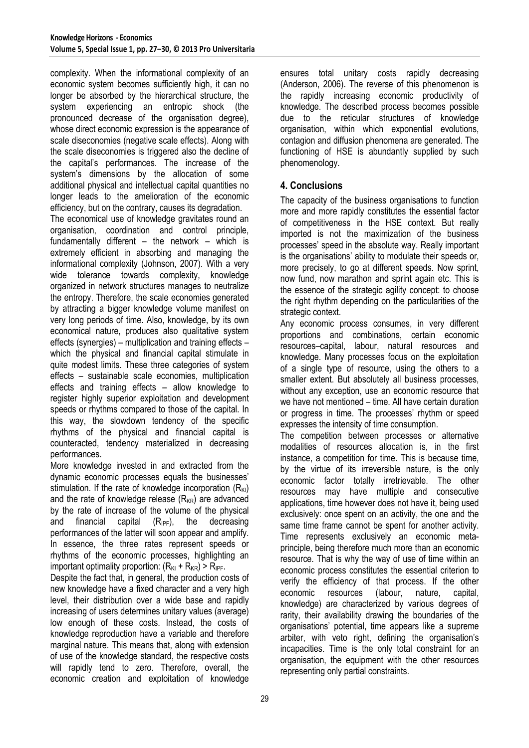complexity. When the informational complexity of an economic system becomes sufficiently high, it can no longer be absorbed by the hierarchical structure, the system experiencing an entropic shock (the pronounced decrease of the organisation degree), whose direct economic expression is the appearance of scale diseconomies (negative scale effects). Along with the scale diseconomies is triggered also the decline of the capital's performances. The increase of the system's dimensions by the allocation of some additional physical and intellectual capital quantities no longer leads to the amelioration of the economic efficiency, but on the contrary, causes its degradation.

The economical use of knowledge gravitates round an organisation, coordination and control principle, fundamentally different  $-$  the network  $-$  which is extremely efficient in absorbing and managing the informational complexity (Johnson, 2007). With a very wide tolerance towards complexity, knowledge organized in network structures manages to neutralize the entropy. Therefore, the scale economies generated by attracting a bigger knowledge volume manifest on very long periods of time. Also, knowledge, by its own economical nature, produces also qualitative system effects (synergies) – multiplication and training effects – which the physical and financial capital stimulate in quite modest limits. These three categories of system effects – sustainable scale economies, multiplication effects and training effects – allow knowledge to register highly superior exploitation and development speeds or rhythms compared to those of the capital. In this way, the slowdown tendency of the specific rhythms of the physical and financial capital is counteracted, tendency materialized in decreasing performances.

More knowledge invested in and extracted from the dynamic economic processes equals the businesses' stimulation. If the rate of knowledge incorporation  $(R_{K1})$ and the rate of knowledge release  $(R_{KR})$  are advanced by the rate of increase of the volume of the physical and financial capital  $(R_{\text{IPF}})$ , the decreasing performances of the latter will soon appear and amplify. In essence, the three rates represent speeds or rhythms of the economic processes, highlighting an important optimality proportion:  $(R_{\text{KI}} + R_{\text{KR}}) > R_{\text{IPF}}$ .

Despite the fact that, in general, the production costs of new knowledge have a fixed character and a very high level, their distribution over a wide base and rapidly increasing of users determines unitary values (average) low enough of these costs. Instead, the costs of knowledge reproduction have a variable and therefore marginal nature. This means that, along with extension of use of the knowledge standard, the respective costs will rapidly tend to zero. Therefore, overall, the economic creation and exploitation of knowledge

ensures total unitary costs rapidly decreasing (Anderson, 2006). The reverse of this phenomenon is the rapidly increasing economic productivity of knowledge. The described process becomes possible due to the reticular structures of knowledge organisation, within which exponential evolutions, contagion and diffusion phenomena are generated. The functioning of HSE is abundantly supplied by such phenomenology.

## **4. Conclusions**

The capacity of the business organisations to function more and more rapidly constitutes the essential factor of competitiveness in the HSE context. But really imported is not the maximization of the business processes' speed in the absolute way. Really important is the organisations' ability to modulate their speeds or, more precisely, to go at different speeds. Now sprint, now fund, now marathon and sprint again etc. This is the essence of the strategic agility concept: to choose the right rhythm depending on the particularities of the strategic context.

Any economic process consumes, in very different proportions and combinations, certain economic resources–capital, labour, natural resources and knowledge. Many processes focus on the exploitation of a single type of resource, using the others to a smaller extent. But absolutely all business processes, without any exception, use an economic resource that we have not mentioned – time. All have certain duration or progress in time. The processes' rhythm or speed expresses the intensity of time consumption.

The competition between processes or alternative modalities of resources allocation is, in the first instance, a competition for time. This is because time, by the virtue of its irreversible nature, is the only economic factor totally irretrievable. The other resources may have multiple and consecutive applications, time however does not have it, being used exclusively: once spent on an activity, the one and the same time frame cannot be spent for another activity. Time represents exclusively an economic metaprinciple, being therefore much more than an economic resource. That is why the way of use of time within an economic process constitutes the essential criterion to verify the efficiency of that process. If the other economic resources (labour, nature, capital, knowledge) are characterized by various degrees of rarity, their availability drawing the boundaries of the organisations' potential, time appears like a supreme arbiter, with veto right, defining the organisation's incapacities. Time is the only total constraint for an organisation, the equipment with the other resources representing only partial constraints.